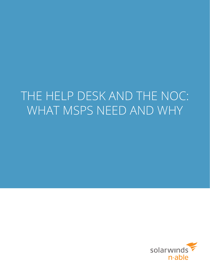# THE HELP DESK AND THE NOC: WHAT MSPS NEED AND WHY

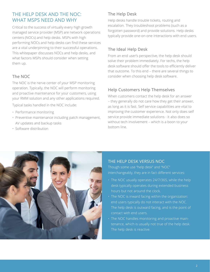# THE HELP DESK AND THE NOC: WHAT MSPS NEED AND WHY

Critical to the success of virtually every high growth managed service provider (MSP) are network operations centers (NOCs) and help desks. MSPs with high performing NOCs and help desks can find these services are a vital underpinning to their successful operations. This whitepaper discusses NOCs and help desks, and what factors MSPs should consider when setting them up.

# The NOC

The NOC is the nerve center of your MSP monitoring operation. Typically, the NOC will perform monitoring and proactive maintenance for your customers, using your RMM solution and any other applications required.

Typical tasks handled in the NOC include:

- Performance monitoring
- Preventive maintenance including patch management, AV updates and backup tasks
- Software distribution

# The Help Desk

Help desks handle trouble tickets, routing and escalation. They troubleshoot problems (such as a forgotten password) and provide solutions. Help desks typically provide one-on-one interactions with end users.

# The Ideal Help Desk

From an end user's perspective, the help desk should solve their problem immediately. For techs, the help desk software should offer the tools to efficiently deliver that outcome. To this end – there are several things to consider when choosing help desk software.

# Help Customers Help Themselves

When customers contact the help desk for an answer – they generally do not care how they get their answer, as long as it is fast. Self service capabilities are vital to improving the customer experience. Not only does self service provide immediate solutions - it also does so without tech involvement – which is a boon to your bottom line.



# THE HELP DESK VERSUS NOC

Though some use "help desk" and "NOC" interchangeably, they are in fact different services:

- The NOC usually operates 24/7/365, while the help desk typically operates during extended business hours but not around the clock.
- The NOC is inward facing within the organization: end users typically do not interact with the NOC. The help desk is outward facing, and is the point of contact with end users.
- The NOC handles monitoring and proactive maintenance, which is usually not true of the help desk. The help desk is reactive.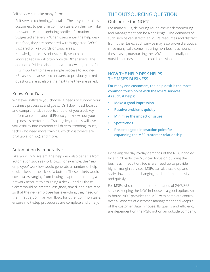Self service can take many forms:

- Self-service technology/portals These systems allow customers to perform common tasks on their own like password reset or updating profile information.
- Suggested answers When users enter the help desk interface, they are presented with "suggested FAQs" triggered off key words or topic areas.
- Knowledgebase A robust, easily searchable knowledgebase will often provide DIY answers. The addition of videos also helps with knowledge transfer. It is important to have a simple process to add new KBs as issues arise – so answers to previously asked questions are available the next time they are asked.

# Know Your Data

Whatever software you choose, it needs to support your business processes and goals. Drill down dashboards and comprehensive reports should let you track key performance indicators (KPIs), so you know how your help desk is performing. Tracking key metrics will give you visibility into common call drivers, trending issues, techs who need more training, which customers are profitable (or not), and more.

## Automation is Imperative

Like your RMM system, the help desk also benefits from automation such as workflows. For example, the "new employee" workflow would generate a number of help desk tickets at the click of a button. These tickets would cover tasks ranging from issuing a laptop to creating a network account to assigning a desk – and all those tickets would be created, assigned, timed, and escalated so that the new employee has everything they need on their first day. Similar workflows for other common tasks ensure multi-step procedures are complete and timely.

# THE OUTSOURCING QUESTION

### Outsource the NOC?

For many MSPs, delivering round-the-clock monitoring and management can be a challenge. The demands of such service can stretch an MSP's resources and distract from other tasks. Such service may also prove disruptive, since many calls come in during non-business hours. In these cases, outsourcing the NOC – either totally or outside business hours – could be a viable option.

## **HOW THE HELP DESK HELPS THE MSP'S BUSINESS**

**For many end customers, the help desk is the most common touch point with the MSP's services. As such, it helps:**

- **• Make a good impression**
- **• Resolve problems quickly**
- **• Minimize the impact of issues**
- **• Spot trends**
- **• Present a good interaction point for expanding the MSP-customer relationship**

By having the day-to-day demands of the NOC handled by a third party, the MSP can focus on building the business. In addition, techs are freed up to provide higher margin services. MSPs can also scale up and scale down to meet changing market demand easily and quickly.

For MSPs who can handle the demands of 24/7/365 service, keeping the NOC in-house is a good option. An in-house NOC provides the MSP with complete control over all aspects of customer management and keeps all of the customer data in house. Its quality and efficiency are dependent on the MSP, not on an outside company.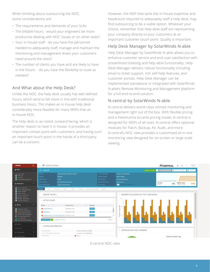When thinking about outsourcing the NOC, some considerations are:

- The requirements and demands of your SLAs
- The billable hours would your engineers be more productive dealing with NOC issues or on other tasks?
- Your in-house staff do you have the personnel needed to adequately staff, manage and maintain the monitoring and management levels your customers need around the clock?
- The number of clients you have and are likely to have in the future - do you have the flexibility to scale as needed?

# And What about the Help Desk?

Unlike the NOC, the help desk usually has well defined hours, which tend to fall more in line with traditional business hours. This makes an in-house help desk considerably more feasible for many MSPs that an in-house NOC.

The help desk is, as noted, outward facing, which is another reason to have it in-house. It provides an important contact point with customers, and having such an important touch point in the hands of a third party can be a concern.

However, the MSP that lacks the in-house expertise and headcount required to adequately staff a help desk, may find outsourcing to be a viable option. Whatever your choice, remember that help desk staff are representing your company directly to your customers at an important customer touch point. Quality is important.

# Help Desk Manager by SolarWinds N-able

Help Desk Manager by SolarWinds N-able allows you to enhance customer service and end-user satisfaction with streamlined ticketing and help desk functionality. Help Desk Manager delivers robust functionality including email to ticket support, rich self-help features, and customer portals. Help Desk Manager can be implemented standalone or integrated with SolarWinds N-able's Remote Monitoring and Management platform for a full end-to-end solution.

# N-central by SolarWinds N-able

N-central delivers world-class remote monitoring and management right out of the box. With flexible pricing and a freemium/a-la-carte pricing model, N-central is designed for MSPs of all sizes. N-central offers optional modules for Patch, Backup, AV, Audit, and more. N-central's NOC view provides a customized all-in-one monitoring view designed for on-screen or large-scale viewing.



A central NOC view